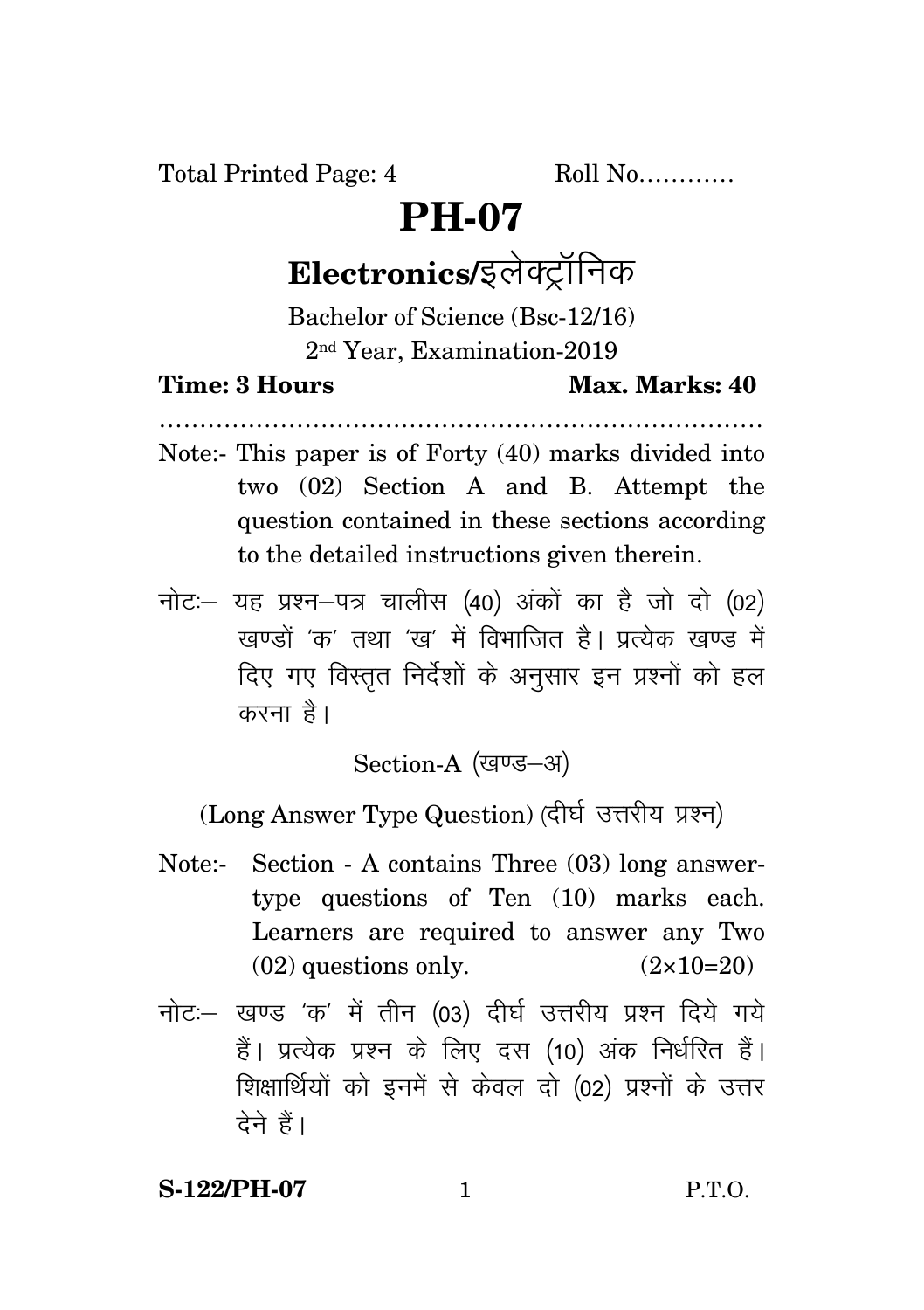Total Printed Page: 4 Roll No............

## **PH-07**

# Electronics/इलेक्ट्रॉनिक

Bachelor of Science (Bsc-12/16) 2nd Year, Examination-2019

### **Time: 3 Hours Max. Marks: 40**

Note:- This paper is of Forty (40) marks divided into two (02) Section A and B. Attempt the question contained in these sections according to the detailed instructions given therein.

…………………………………………………………………

 $\vec{u}$ नोट: यह प्रश्न-पत्र चालीस (40) अंकों का है जो दो (02)  $\vec{k}$ रवण्डों 'क' तथा 'रव' में विभाजित है। पत्येक रवण्ड में दिए गए विस्तृत निर्देशों के अनुसार इन प्रश्नों को हल करना है।

Section-A (खण्ड-अ)

(Long Answer Type Question) (दीर्घ उत्तरीय प्रश्न)

- Note:- Section A contains Three (03) long answertype questions of Ten (10) marks each. Learners are required to answer any Two  $(02)$  questions only.  $(2 \times 10=20)$
- नोट: खण्ड 'क' में तीन (03) दीर्घ उत्तरीय प्रश्न दिये गये हैं। प्रत्येक प्रश्न के लिए दस (10) अंक निर्धरित हैं। शिक्षार्थियों को इनमें से केवल दो (02) प्रश्नों के उत्तर देने हैं।

### **S-122/PH-07** 1 P.T.O.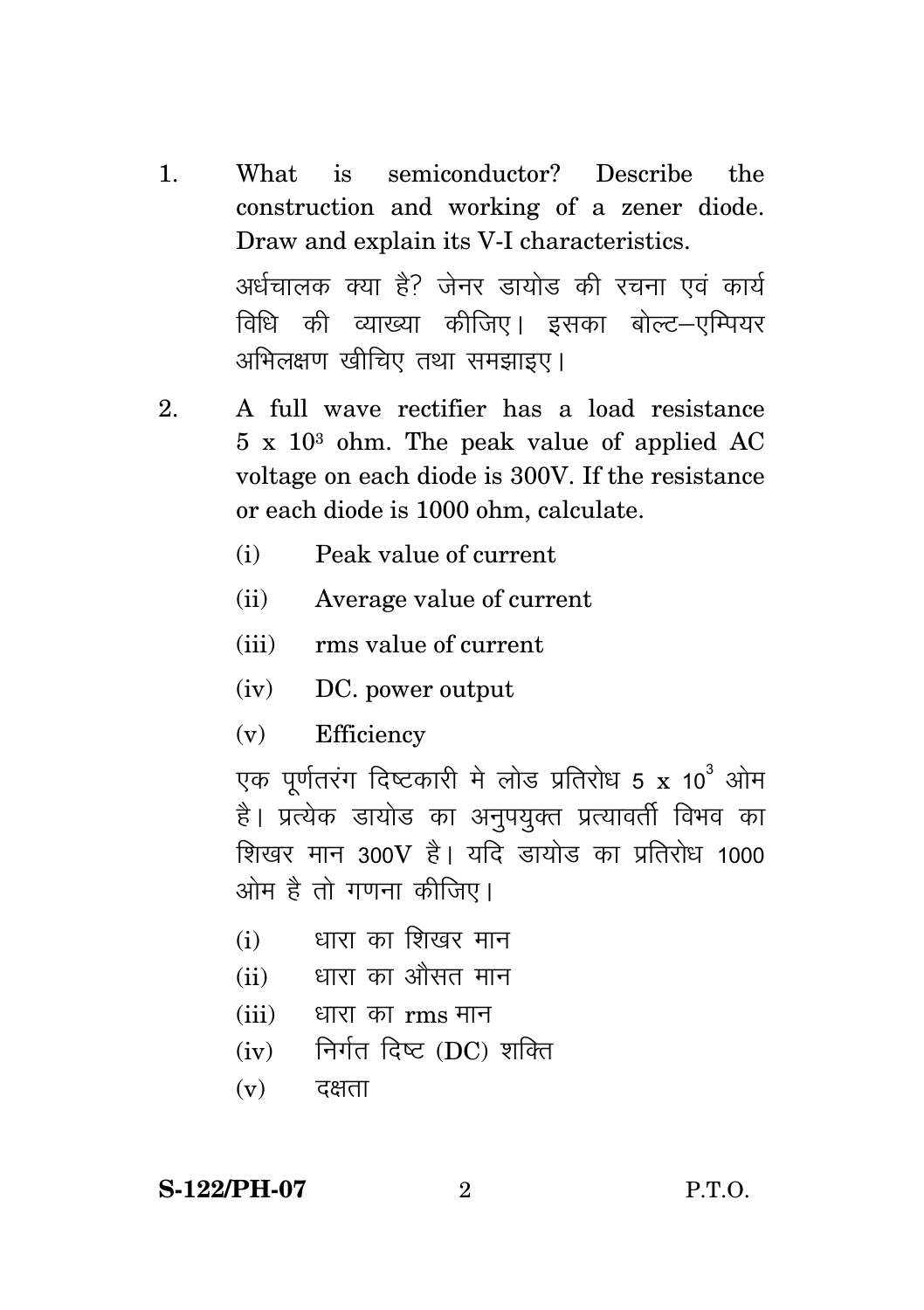- 1. What is semiconductor? Describe the construction and working of a zener diode. Draw and explain its V-I characteristics. अर्धचालक क्या है? जेनर डायोड की रचना एवं कार्य विधि की व्याख्या कीजिए। इसका बोल्ट–एम्पियर अभिलक्षण खीचिए तथा समझाइए।
- 2. A full wave rectifier has a load resistance 5 x 10<sup>3</sup> ohm. The peak value of applied AC voltage on each diode is 300V. If the resistance or each diode is 1000 ohm, calculate.
	- (i) Peak value of current
	- (ii) Average value of current
	- (iii) rms value of current
	- (iv) DC. power output
	- (v) Efficiency

एक पूर्णतरंग दिष्टकारी मे लोड प्रतिरोध 5 x 10 $^3$  ओम है। प्रत्येक डायोड का अनुपयुक्त प्रत्यावर्ती विभव का शिखर मान 300V है। यदि डायोड का प्रतिरोध 1000 ओम है तो गणना कीजिए।

- $(i)$  धारा का शिखर मान
- $(iii)$  धारा का औसत मान
- $(iii)$  धारा का  $rm s$  मान
- $(iv)$  निर्गत दिष्ट (DC) शक्ति
- $(v)$  दक्षता

**S-122/PH-07** 2 P.T.O.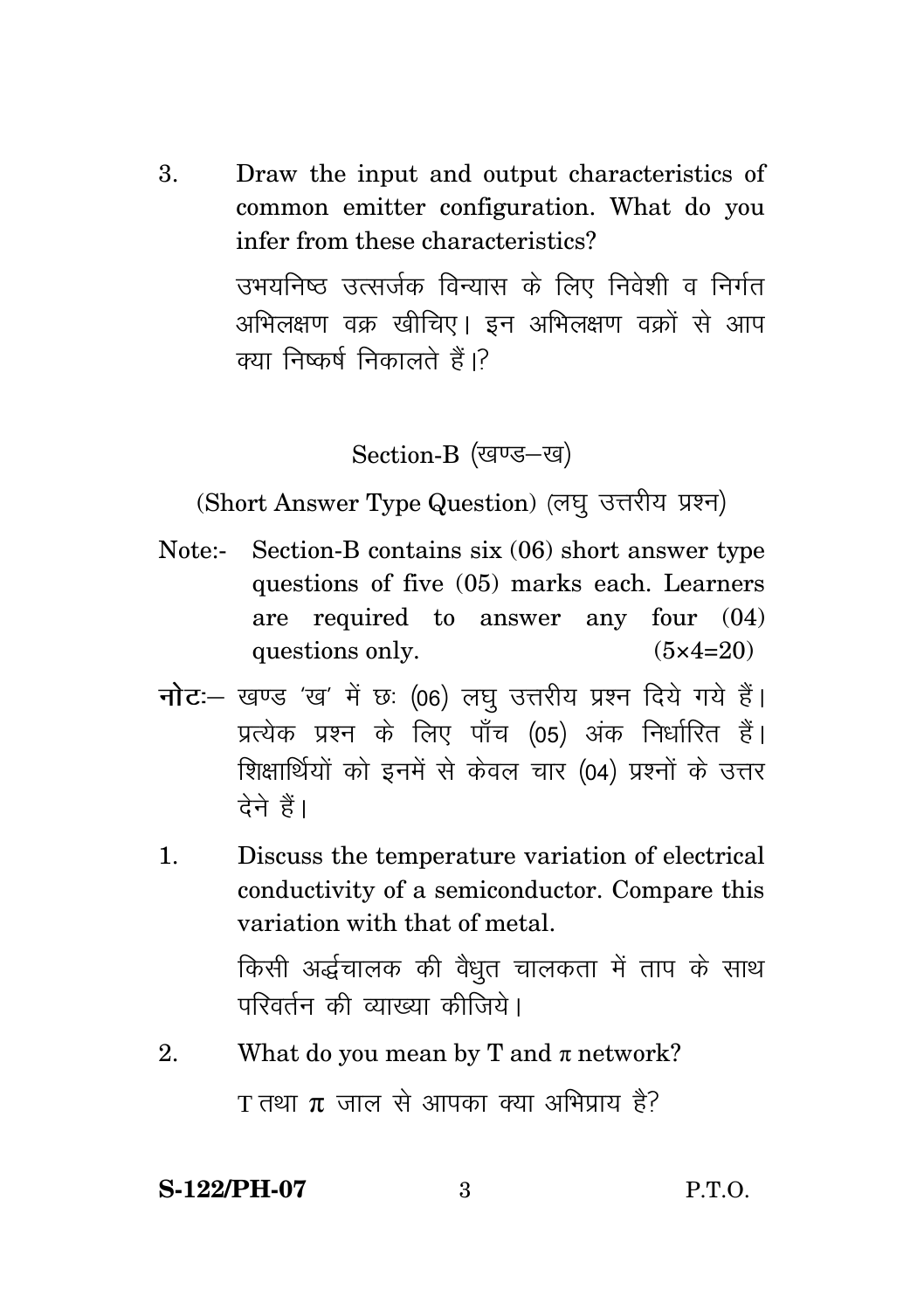3. Draw the input and output characteristics of common emitter configuration. What do you infer from these characteristics? उभयनिष्ठ उत्सर्जक विन्यास के लिए निवेशी व निर्गत अभिलक्षण वक्र खीचिए। इन अभिलक्षण वक्रों से आप क्या निष्कर्ष निकालते हैं।?

Section-B (खण्ड-ख)

(Short Answer Type Question) (लघु उत्तरीय प्रश्न)

- Note:- Section-B contains six (06) short answer type questions of five (05) marks each. Learners are required to answer any four  $(04)$ questions only.  $(5 \times 4 = 20)$
- नोट :- खण्ड 'ख' में छः (06) लघु उत्तरीय प्रश्न दिये गये हैं। प्रत्येक प्रश्न के लिए पाँच (05) अंक निर्धारित हैं। शिक्षार्थियों को इनमें से केवल चार (04) प्रश्नों के उत्तर टेने हैं।
- $\mathbf{1}$ . Discuss the temperature variation of electrical conductivity of a semiconductor. Compare this variation with that of metal.

किसी अर्द्धचालक की वैधुत चालकता में ताप के साथ परिवर्तन की व्याख्या कीजिये।

2. What do you mean by T and  $\pi$  network?

T तथा  $\pi$  जाल से आपका क्या अभिप्राय है?

**S-122/PH-07**